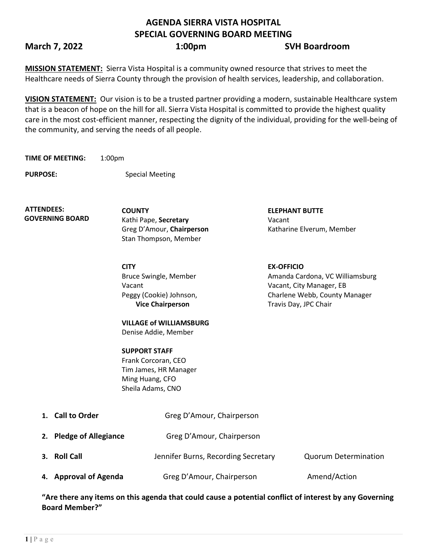# **AGENDA SIERRA VISTA HOSPITAL SPECIAL GOVERNING BOARD MEETING**

# **March 7, 2022 1:00pm SVH Boardroom**

**MISSION STATEMENT:** Sierra Vista Hospital is a community owned resource that strives to meet the Healthcare needs of Sierra County through the provision of health services, leadership, and collaboration.

**VISION STATEMENT:** Our vision is to be a trusted partner providing a modern, sustainable Healthcare system that is a beacon of hope on the hill for all. Sierra Vista Hospital is committed to provide the highest quality care in the most cost-efficient manner, respecting the dignity of the individual, providing for the well-being of the community, and serving the needs of all people.

**TIME OF MEETING:** 1:00pm

**PURPOSE:** Special Meeting

**ATTENDEES: GOVERNING BOARD**

Kathi Pape, **Secretary** Vacant Stan Thompson, Member

**CITY EX-OFFICIO** Bruce Swingle, Member Vacant Peggy (Cookie) Johnson, **Vice Chairperson**

**COUNTY ELEPHANT BUTTE**  Greg D'Amour, **Chairperson** Katharine Elverum, Member

> Amanda Cardona, VC Williamsburg Vacant, City Manager, EB Charlene Webb, County Manager Travis Day, JPC Chair

**VILLAGE of WILLIAMSBURG** Denise Addie, Member

**SUPPORT STAFF** Frank Corcoran, CEO Tim James, HR Manager Ming Huang, CFO Sheila Adams, CNO

| 1. Call to Order        | Greg D'Amour, Chairperson           |                             |
|-------------------------|-------------------------------------|-----------------------------|
| 2. Pledge of Allegiance | Greg D'Amour, Chairperson           |                             |
| 3. Roll Call            | Jennifer Burns, Recording Secretary | <b>Quorum Determination</b> |
| 4. Approval of Agenda   | Greg D'Amour, Chairperson           | Amend/Action                |

**"Are there any items on this agenda that could cause a potential conflict of interest by any Governing Board Member?"**